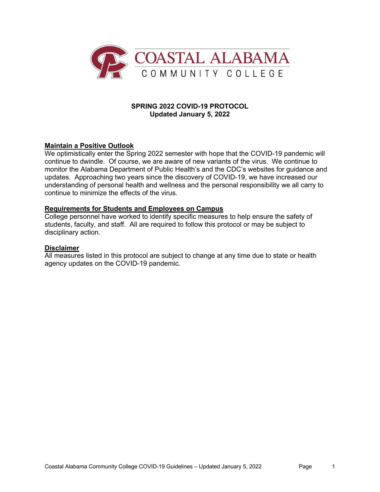

## **SPRING 2022 COVID-19 PROTOCOL Updated January 5, 2022**

# **Maintain a Positive Outlook**

We optimistically enter the Spring 2022 semester with hope that the COVID-19 pandemic will continue to dwindle. Of course, we are aware of new variants of the virus. We continue to monitor the Alabama Department of Public Health's and the CDC's websites for guidance and updates. Approaching two years since the discovery of COVID-19, we have increased our understanding of personal health and wellness and the personal responsibility we all carry to continue to minimize the effects of the virus.

#### **Requirements for Students and Employees on Campus**

College personnel have worked to identify specific measures to help ensure the safety of students, faculty, and staff. All are required to follow this protocol or may be subject to disciplinary action.

#### **Disclaimer**

All measures listed in this protocol are subject to change at any time due to state or health agency updates on the COVID-19 pandemic.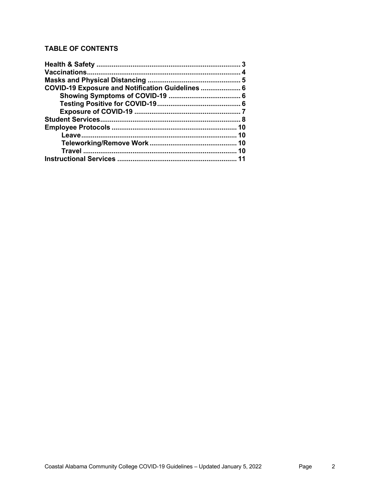# **TABLE OF CONTENTS**

| COVID-19 Exposure and Notification Guidelines  6 |    |
|--------------------------------------------------|----|
|                                                  |    |
|                                                  |    |
|                                                  |    |
|                                                  |    |
|                                                  |    |
|                                                  | 10 |
|                                                  |    |
|                                                  |    |
|                                                  |    |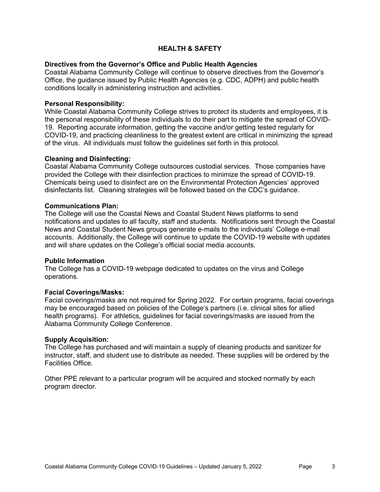# **HEALTH & SAFETY**

## **Directives from the Governor's Office and Public Health Agencies**

Coastal Alabama Community College will continue to observe directives from the Governor's Office, the guidance issued by Public Health Agencies (e.g. CDC, ADPH) and public health conditions locally in administering instruction and activities.

#### **Personal Responsibility:**

While Coastal Alabama Community College strives to protect its students and employees, it is the personal responsibility of these individuals to do their part to mitigate the spread of COVID-19. Reporting accurate information, getting the vaccine and/or getting tested regularly for COVID-19, and practicing cleanliness to the greatest extent are critical in minimizing the spread of the virus. All individuals must follow the guidelines set forth in this protocol.

#### **Cleaning and Disinfecting:**

Coastal Alabama Community College outsources custodial services. Those companies have provided the College with their disinfection practices to minimize the spread of COVID-19. Chemicals being used to disinfect are on the Environmental Protection Agencies' approved disinfectants list. Cleaning strategies will be followed based on the CDC's guidance.

#### **Communications Plan:**

The College will use the Coastal News and Coastal Student News platforms to send notifications and updates to all faculty, staff and students. Notifications sent through the Coastal News and Coastal Student News groups generate e-mails to the individuals' College e-mail accounts. Additionally, the College will continue to update the COVID-19 website with updates and will share updates on the College's official social media accounts.

#### **Public Information**

The College has a COVID-19 webpage dedicated to updates on the virus and College operations.

#### **Facial Coverings/Masks:**

Facial coverings/masks are not required for Spring 2022. For certain programs, facial coverings may be encouraged based on policies of the College's partners (i.e. clinical sites for allied health programs). For athletics, guidelines for facial coverings/masks are issued from the Alabama Community College Conference.

#### **Supply Acquisition:**

The College has purchased and will maintain a supply of cleaning products and sanitizer for instructor, staff, and student use to distribute as needed. These supplies will be ordered by the Facilities Office.

Other PPE relevant to a particular program will be acquired and stocked normally by each program director.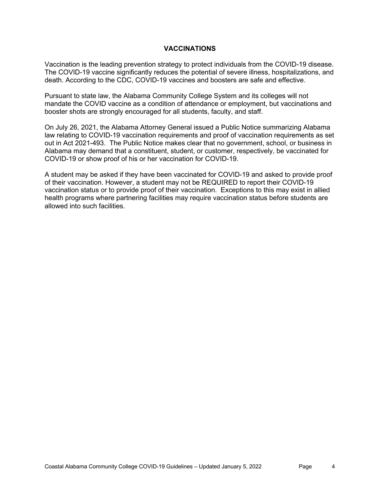## **VACCINATIONS**

Vaccination is the leading prevention strategy to protect individuals from the COVID-19 disease. The COVID-19 vaccine significantly reduces the potential of severe illness, hospitalizations, and death. According to the CDC, COVID-19 vaccines and boosters are safe and effective.

Pursuant to state law, the Alabama Community College System and its colleges will not mandate the COVID vaccine as a condition of attendance or employment, but vaccinations and booster shots are strongly encouraged for all students, faculty, and staff.

On July 26, 2021, the Alabama Attorney General issued a Public Notice summarizing Alabama law relating to COVID-19 vaccination requirements and proof of vaccination requirements as set out in Act 2021-493. The Public Notice makes clear that no government, school, or business in Alabama may demand that a constituent, student, or customer, respectively, be vaccinated for COVID-19 or show proof of his or her vaccination for COVID-19.

A student may be asked if they have been vaccinated for COVID-19 and asked to provide proof of their vaccination. However, a student may not be REQUIRED to report their COVID-19 vaccination status or to provide proof of their vaccination. Exceptions to this may exist in allied health programs where partnering facilities may require vaccination status before students are allowed into such facilities.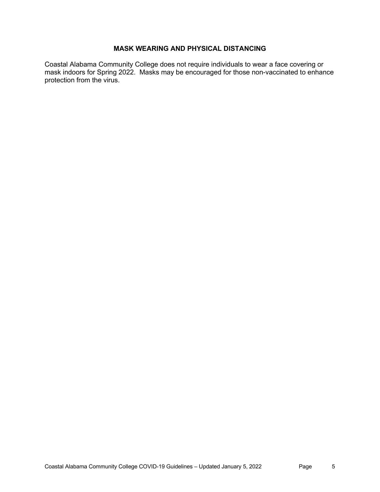# **MASK WEARING AND PHYSICAL DISTANCING**

Coastal Alabama Community College does not require individuals to wear a face covering or mask indoors for Spring 2022. Masks may be encouraged for those non-vaccinated to enhance protection from the virus.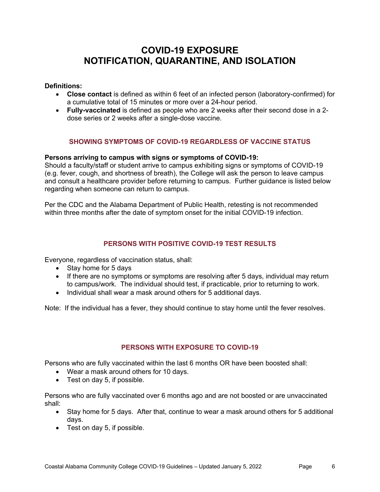# **COVID-19 EXPOSURE NOTIFICATION, QUARANTINE, AND ISOLATION**

**Definitions:**

- **Close contact** is defined as within 6 feet of an infected person (laboratory-confirmed) for a cumulative total of 15 minutes or more over a 24-hour period.
- **Fully-vaccinated** is defined as people who are 2 weeks after their second dose in a 2 dose series or 2 weeks after a single-dose vaccine.

# **SHOWING SYMPTOMS OF COVID-19 REGARDLESS OF VACCINE STATUS**

#### **Persons arriving to campus with signs or symptoms of COVID-19:**

Should a faculty/staff or student arrive to campus exhibiting signs or symptoms of COVID-19 (e.g. fever, cough, and shortness of breath), the College will ask the person to leave campus and consult a healthcare provider before returning to campus. Further guidance is listed below regarding when someone can return to campus.

Per the CDC and the Alabama Department of Public Health, retesting is not recommended within three months after the date of symptom onset for the initial COVID-19 infection.

# **PERSONS WITH POSITIVE COVID-19 TEST RESULTS**

Everyone, regardless of vaccination status, shall:

- Stay home for 5 days
- If there are no symptoms or symptoms are resolving after 5 days, individual may return to campus/work. The individual should test, if practicable, prior to returning to work.
- Individual shall wear a mask around others for 5 additional days.

Note: If the individual has a fever, they should continue to stay home until the fever resolves.

## **PERSONS WITH EXPOSURE TO COVID-19**

Persons who are fully vaccinated within the last 6 months OR have been boosted shall:

- Wear a mask around others for 10 days.
- Test on day 5, if possible.

Persons who are fully vaccinated over 6 months ago and are not boosted or are unvaccinated shall:

- Stay home for 5 days. After that, continue to wear a mask around others for 5 additional days.
- Test on day 5, if possible.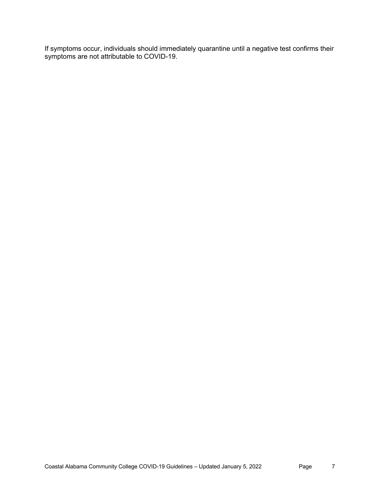If symptoms occur, individuals should immediately quarantine until a negative test confirms their symptoms are not attributable to COVID-19.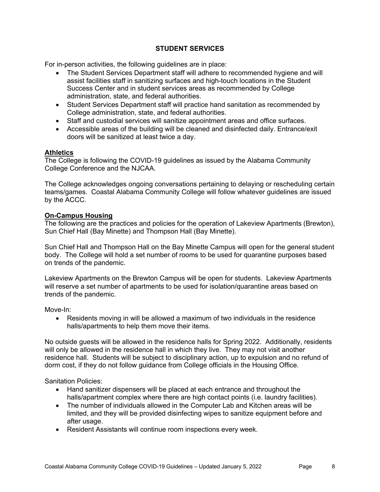# **STUDENT SERVICES**

For in-person activities, the following guidelines are in place:

- The Student Services Department staff will adhere to recommended hygiene and will assist facilities staff in sanitizing surfaces and high-touch locations in the Student Success Center and in student services areas as recommended by College administration, state, and federal authorities.
- Student Services Department staff will practice hand sanitation as recommended by College administration, state, and federal authorities.
- Staff and custodial services will sanitize appointment areas and office surfaces.
- Accessible areas of the building will be cleaned and disinfected daily. Entrance/exit doors will be sanitized at least twice a day.

## **Athletics**

The College is following the COVID-19 guidelines as issued by the Alabama Community College Conference and the NJCAA.

The College acknowledges ongoing conversations pertaining to delaying or rescheduling certain teams/games. Coastal Alabama Community College will follow whatever guidelines are issued by the ACCC.

#### **On-Campus Housing**

The following are the practices and policies for the operation of Lakeview Apartments (Brewton), Sun Chief Hall (Bay Minette) and Thompson Hall (Bay Minette).

Sun Chief Hall and Thompson Hall on the Bay Minette Campus will open for the general student body. The College will hold a set number of rooms to be used for quarantine purposes based on trends of the pandemic.

Lakeview Apartments on the Brewton Campus will be open for students. Lakeview Apartments will reserve a set number of apartments to be used for isolation/quarantine areas based on trends of the pandemic.

Move-In:

• Residents moving in will be allowed a maximum of two individuals in the residence halls/apartments to help them move their items.

No outside guests will be allowed in the residence halls for Spring 2022. Additionally, residents will only be allowed in the residence hall in which they live. They may not visit another residence hall. Students will be subject to disciplinary action, up to expulsion and no refund of dorm cost, if they do not follow guidance from College officials in the Housing Office.

Sanitation Policies:

- Hand sanitizer dispensers will be placed at each entrance and throughout the halls/apartment complex where there are high contact points (i.e. laundry facilities).
- The number of individuals allowed in the Computer Lab and Kitchen areas will be limited, and they will be provided disinfecting wipes to sanitize equipment before and after usage.
- Resident Assistants will continue room inspections every week.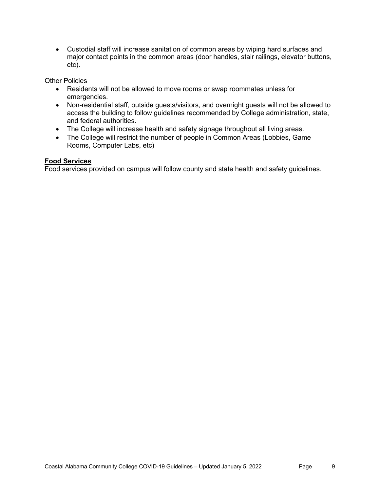• Custodial staff will increase sanitation of common areas by wiping hard surfaces and major contact points in the common areas (door handles, stair railings, elevator buttons, etc).

Other Policies

- Residents will not be allowed to move rooms or swap roommates unless for emergencies.
- Non-residential staff, outside guests/visitors, and overnight guests will not be allowed to access the building to follow guidelines recommended by College administration, state, and federal authorities.
- The College will increase health and safety signage throughout all living areas.
- The College will restrict the number of people in Common Areas (Lobbies, Game Rooms, Computer Labs, etc)

## **Food Services**

Food services provided on campus will follow county and state health and safety guidelines.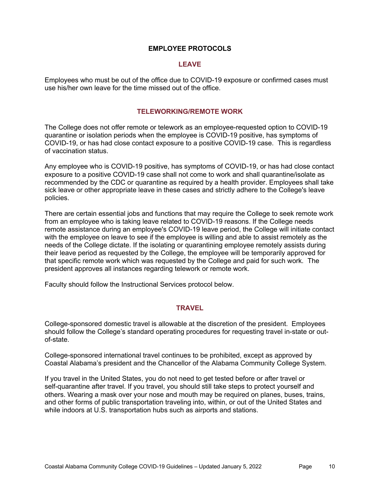#### **EMPLOYEE PROTOCOLS**

#### **LEAVE**

Employees who must be out of the office due to COVID-19 exposure or confirmed cases must use his/her own leave for the time missed out of the office.

#### **TELEWORKING/REMOTE WORK**

The College does not offer remote or telework as an employee-requested option to COVID-19 quarantine or isolation periods when the employee is COVID-19 positive, has symptoms of COVID-19, or has had close contact exposure to a positive COVID-19 case. This is regardless of vaccination status.

Any employee who is COVID-19 positive, has symptoms of COVID-19, or has had close contact exposure to a positive COVID-19 case shall not come to work and shall quarantine/isolate as recommended by the CDC or quarantine as required by a health provider. Employees shall take sick leave or other appropriate leave in these cases and strictly adhere to the College's leave policies.

There are certain essential jobs and functions that may require the College to seek remote work from an employee who is taking leave related to COVID-19 reasons. If the College needs remote assistance during an employee's COVID-19 leave period, the College will initiate contact with the employee on leave to see if the employee is willing and able to assist remotely as the needs of the College dictate. If the isolating or quarantining employee remotely assists during their leave period as requested by the College, the employee will be temporarily approved for that specific remote work which was requested by the College and paid for such work. The president approves all instances regarding telework or remote work.

Faculty should follow the Instructional Services protocol below.

# **TRAVEL**

College-sponsored domestic travel is allowable at the discretion of the president. Employees should follow the College's standard operating procedures for requesting travel in-state or outof-state.

College-sponsored international travel continues to be prohibited, except as approved by Coastal Alabama's president and the Chancellor of the Alabama Community College System.

If you travel in the United States, you do not need to get tested before or after travel or self-quarantine after travel. If you travel, you should still take steps to protect yourself and others. Wearing a mask over your nose and mouth may be required on planes, buses, trains, and other forms of public transportation traveling into, within, or out of the United States and while indoors at U.S. transportation hubs such as airports and stations.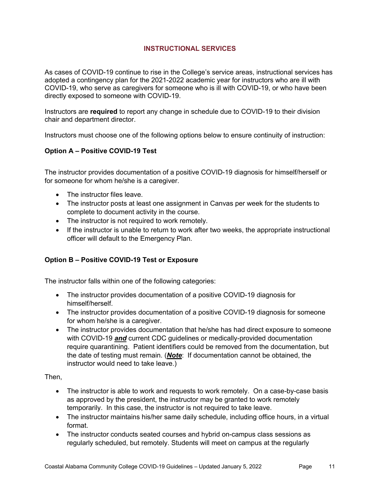# **INSTRUCTIONAL SERVICES**

As cases of COVID-19 continue to rise in the College's service areas, instructional services has adopted a contingency plan for the 2021-2022 academic year for instructors who are ill with COVID-19, who serve as caregivers for someone who is ill with COVID-19, or who have been directly exposed to someone with COVID-19.

Instructors are **required** to report any change in schedule due to COVID-19 to their division chair and department director.

Instructors must choose one of the following options below to ensure continuity of instruction:

# **Option A – Positive COVID-19 Test**

The instructor provides documentation of a positive COVID-19 diagnosis for himself/herself or for someone for whom he/she is a caregiver.

- The instructor files leave.
- The instructor posts at least one assignment in Canvas per week for the students to complete to document activity in the course.
- The instructor is not required to work remotely.
- If the instructor is unable to return to work after two weeks, the appropriate instructional officer will default to the Emergency Plan.

## **Option B – Positive COVID-19 Test or Exposure**

The instructor falls within one of the following categories:

- The instructor provides documentation of a positive COVID-19 diagnosis for himself/herself.
- The instructor provides documentation of a positive COVID-19 diagnosis for someone for whom he/she is a caregiver.
- The instructor provides documentation that he/she has had direct exposure to someone with COVID-19 *and* current CDC guidelines or medically-provided documentation require quarantining. Patient identifiers could be removed from the documentation, but the date of testing must remain. (*Note*: If documentation cannot be obtained, the instructor would need to take leave.)

Then,

- The instructor is able to work and requests to work remotely. On a case-by-case basis as approved by the president, the instructor may be granted to work remotely temporarily. In this case, the instructor is not required to take leave.
- The instructor maintains his/her same daily schedule, including office hours, in a virtual format.
- The instructor conducts seated courses and hybrid on-campus class sessions as regularly scheduled, but remotely. Students will meet on campus at the regularly